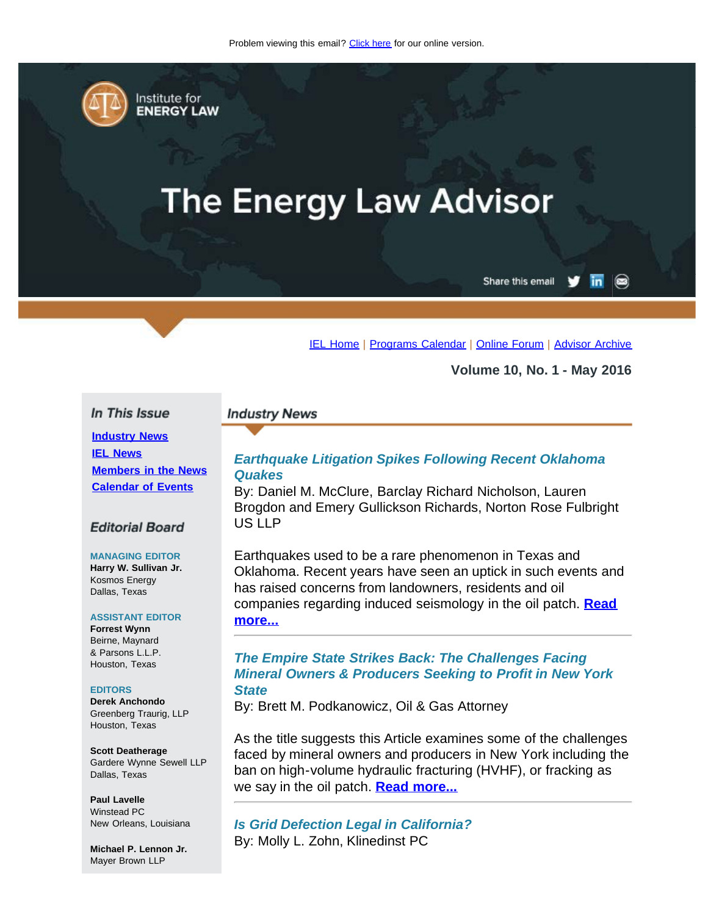<span id="page-0-0"></span>

Institute for **ENERGY LAW** 

# **The Energy Law Advisor**

Share this email in  $\circledcirc$ 

[IEL Home](http://www.cailaw.org/institute-for-energy-law/index.html?utm_source=Informz&utm_medium=Email&utm_campaign=Event+Details) | [Programs Calendar](http://www.cailaw.org/institute-for-energy-law/programs-calendar.html?utm_source=Informz&utm_medium=Email&utm_campaign=Event+Details) | [Online Forum](https://www.linkedin.com/groups?gid=2330688&trk=myg_ugrp_ovr) | [Advisor Archive](http://www.cailaw.org/institute-for-energy-law/publications/energy-law-advisor.html?utm_source=Informz&utm_medium=Email&utm_campaign=Event+Details)

**Volume 10, No. 1 - May 2016**

#### In This Issue

**[Industry News](#page-0-0) [IEL News](#page-0-0) [Members in the News](#page-0-0) [Calendar of Events](#page-0-0)**

## **Editorial Board**

#### **MANAGING EDITOR**

**Harry W. Sullivan Jr.** Kosmos Energy Dallas, Texas

#### **ASSISTANT EDITOR**

**Forrest Wynn** Beirne, Maynard & Parsons L.L.P. Houston, Texas

#### **EDITORS**

**Derek Anchondo** Greenberg Traurig, LLP Houston, Texas

**Scott Deatherage** Gardere Wynne Sewell LLP Dallas, Texas

**Paul Lavelle** Winstead PC New Orleans, Louisiana

**Michael P. Lennon Jr.** Mayer Brown LLP

#### **Industry News**

## *Earthquake Litigation Spikes Following Recent Oklahoma Quakes*

By: Daniel M. McClure, Barclay Richard Nicholson, Lauren Brogdon and Emery Gullickson Richards, Norton Rose Fulbright US LLP

Earthquakes used to be a rare phenomenon in Texas and Oklahoma. Recent years have seen an uptick in such events and has raised concerns from landowners, residents and oil companies regarding induced seismology in the oil patch. **[Read](http://www.cailaw.org/media/files/IEL/Publications/2016/earthquake-litigation-vol10no1.pdf) [more...](http://www.cailaw.org/media/files/IEL/Publications/2016/earthquake-litigation-vol10no1.pdf)**

## *The Empire State Strikes Back: The Challenges Facing Mineral Owners & Producers Seeking to Profit in New York State*

By: Brett M. Podkanowicz, Oil & Gas Attorney

As the title suggests this Article examines some of the challenges faced by mineral owners and producers in New York including the ban on high-volume hydraulic fracturing (HVHF), or fracking as we say in the oil patch. **[Read more...](http://www.cailaw.org/media/files/IEL/Publications/2016/empire-strikes-back-vol10no1.pdf)**

*Is Grid Defection Legal in California?* By: Molly L. Zohn, Klinedinst PC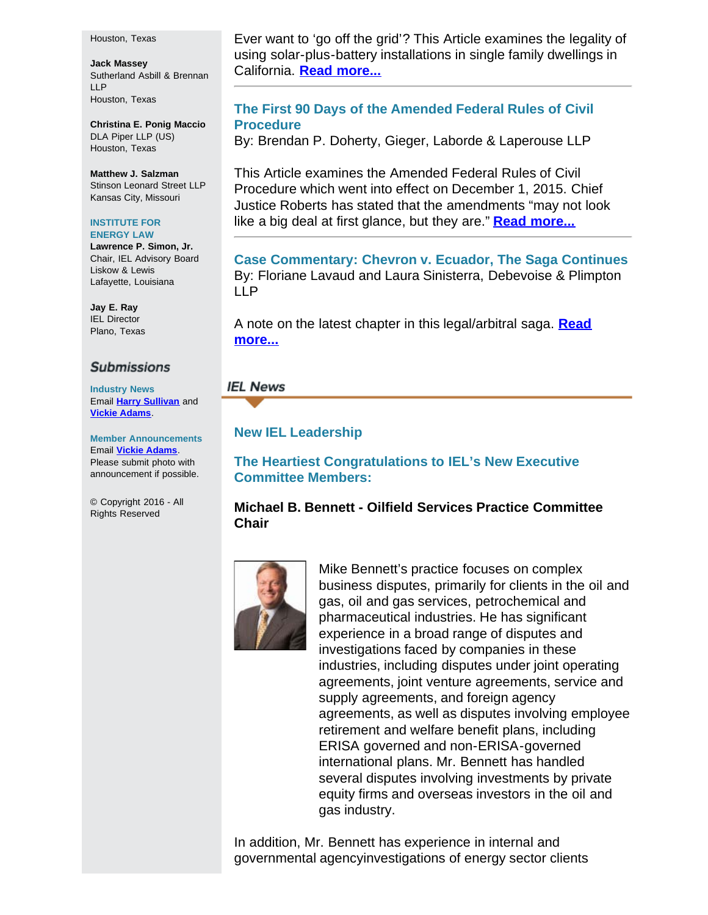#### Houston, Texas

**Jack Massey** Sutherland Asbill & Brennan LLP Houston, Texas

**Christina E. Ponig Maccio** DLA Piper LLP (US) Houston, Texas

**Matthew J. Salzman** Stinson Leonard Street LLP Kansas City, Missouri

#### **INSTITUTE FOR ENERGY LAW**

**Lawrence P. Simon, Jr.** Chair, IEL Advisory Board Liskow & Lewis Lafayette, Louisiana

**Jay E. Ray** IEL Director Plano, Texas

#### **Submissions**

**Industry News** Email **[Harry Sullivan](mailto:sullivanhw@aol.com)** and **[Vickie Adams](mailto:vadams@cailaw.org)**.

**Member Announcements** Email **[Vickie Adams](mailto:vadams@cailaw.org)**. Please submit photo with announcement if possible.

© Copyright 2016 - All Rights Reserved

Ever want to 'go off the grid'? This Article examines the legality of using solar-plus-battery installations in single family dwellings in California. **[Read more...](http://www.cailaw.org/media/files/IEL/Publications/2016/grid-detection-vol10no1.pdf)**

## **The First 90 Days of the Amended Federal Rules of Civil Procedure**

By: Brendan P. Doherty, Gieger, Laborde & Laperouse LLP

This Article examines the Amended Federal Rules of Civil Procedure which went into effect on December 1, 2015. Chief Justice Roberts has stated that the amendments "may not look like a big deal at first glance, but they are." **[Read more...](http://www.cailaw.org/media/files/IEL/Publications/2016/90-days-vol10no1.pdf)**

**Case Commentary: Chevron v. Ecuador, The Saga Continues** By: Floriane Lavaud and Laura Sinisterra, Debevoise & Plimpton LLP

A note on the latest chapter in this legal/arbitral saga. **[Read](http://www.cailaw.org/media/files/IEL/Publications/2016/chevron-v-ecuador-vol10no1.pdf) [more...](http://www.cailaw.org/media/files/IEL/Publications/2016/chevron-v-ecuador-vol10no1.pdf)**

## **IEL News**

## **New IEL Leadership**

**The Heartiest Congratulations to IEL's New Executive Committee Members:**

## **Michael B. Bennett - Oilfield Services Practice Committee Chair**



Mike Bennett's practice focuses on complex business disputes, primarily for clients in the oil and gas, oil and gas services, petrochemical and pharmaceutical industries. He has significant experience in a broad range of disputes and investigations faced by companies in these industries, including disputes under joint operating agreements, joint venture agreements, service and supply agreements, and foreign agency agreements, as well as disputes involving employee retirement and welfare benefit plans, including ERISA governed and non-ERISA-governed international plans. Mr. Bennett has handled several disputes involving investments by private equity firms and overseas investors in the oil and gas industry.

In addition, Mr. Bennett has experience in internal and governmental agencyinvestigations of energy sector clients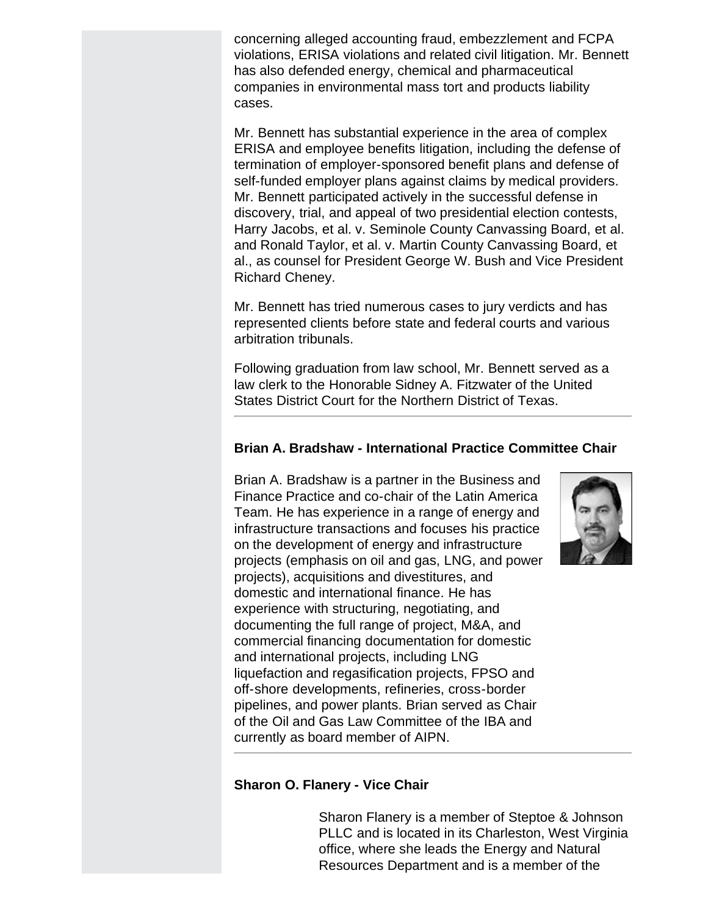concerning alleged accounting fraud, embezzlement and FCPA violations, ERISA violations and related civil litigation. Mr. Bennett has also defended energy, chemical and pharmaceutical companies in environmental mass tort and products liability cases.

Mr. Bennett has substantial experience in the area of complex ERISA and employee benefits litigation, including the defense of termination of employer-sponsored benefit plans and defense of self-funded employer plans against claims by medical providers. Mr. Bennett participated actively in the successful defense in discovery, trial, and appeal of two presidential election contests, Harry Jacobs, et al. v. Seminole County Canvassing Board, et al. and Ronald Taylor, et al. v. Martin County Canvassing Board, et al., as counsel for President George W. Bush and Vice President Richard Cheney.

Mr. Bennett has tried numerous cases to jury verdicts and has represented clients before state and federal courts and various arbitration tribunals.

Following graduation from law school, Mr. Bennett served as a law clerk to the Honorable Sidney A. Fitzwater of the United States District Court for the Northern District of Texas.

# **Brian A. Bradshaw - International Practice Committee Chair**

Brian A. Bradshaw is a partner in the Business and Finance Practice and co-chair of the Latin America Team. He has experience in a range of energy and infrastructure transactions and focuses his practice on the development of energy and infrastructure projects (emphasis on oil and gas, LNG, and power projects), acquisitions and divestitures, and domestic and international finance. He has experience with structuring, negotiating, and documenting the full range of project, M&A, and commercial financing documentation for domestic and international projects, including LNG liquefaction and regasification projects, FPSO and off-shore developments, refineries, cross-border pipelines, and power plants. Brian served as Chair of the Oil and Gas Law Committee of the IBA and currently as board member of AIPN.



# **Sharon O. Flanery - Vice Chair**

Sharon Flanery is a member of Steptoe & Johnson PLLC and is located in its Charleston, West Virginia office, where she leads the Energy and Natural Resources Department and is a member of the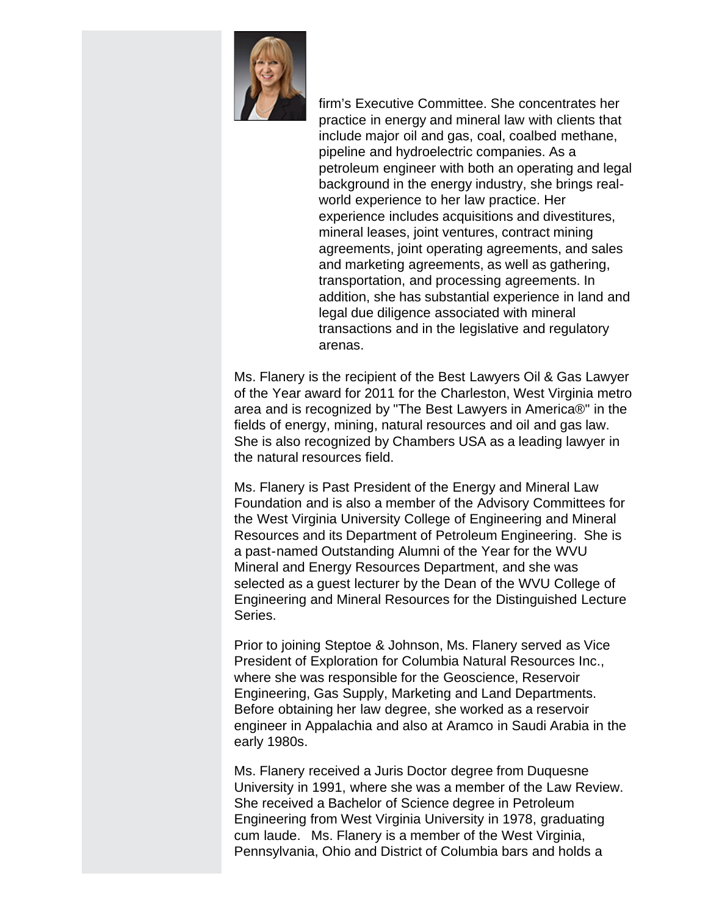

firm's Executive Committee. She concentrates her practice in energy and mineral law with clients that include major oil and gas, coal, coalbed methane, pipeline and hydroelectric companies. As a petroleum engineer with both an operating and legal background in the energy industry, she brings realworld experience to her law practice. Her experience includes acquisitions and divestitures, mineral leases, joint ventures, contract mining agreements, joint operating agreements, and sales and marketing agreements, as well as gathering, transportation, and processing agreements. In addition, she has substantial experience in land and legal due diligence associated with mineral transactions and in the legislative and regulatory arenas.

Ms. Flanery is the recipient of the Best Lawyers Oil & Gas Lawyer of the Year award for 2011 for the Charleston, West Virginia metro area and is recognized by "The Best Lawyers in America®" in the fields of energy, mining, natural resources and oil and gas law. She is also recognized by Chambers USA as a leading lawyer in the natural resources field.

Ms. Flanery is Past President of the Energy and Mineral Law Foundation and is also a member of the Advisory Committees for the West Virginia University College of Engineering and Mineral Resources and its Department of Petroleum Engineering. She is a past-named Outstanding Alumni of the Year for the WVU Mineral and Energy Resources Department, and she was selected as a guest lecturer by the Dean of the WVU College of Engineering and Mineral Resources for the Distinguished Lecture Series.

Prior to joining Steptoe & Johnson, Ms. Flanery served as Vice President of Exploration for Columbia Natural Resources Inc., where she was responsible for the Geoscience, Reservoir Engineering, Gas Supply, Marketing and Land Departments. Before obtaining her law degree, she worked as a reservoir engineer in Appalachia and also at Aramco in Saudi Arabia in the early 1980s.

Ms. Flanery received a Juris Doctor degree from Duquesne University in 1991, where she was a member of the Law Review. She received a Bachelor of Science degree in Petroleum Engineering from West Virginia University in 1978, graduating cum laude. Ms. Flanery is a member of the West Virginia, Pennsylvania, Ohio and District of Columbia bars and holds a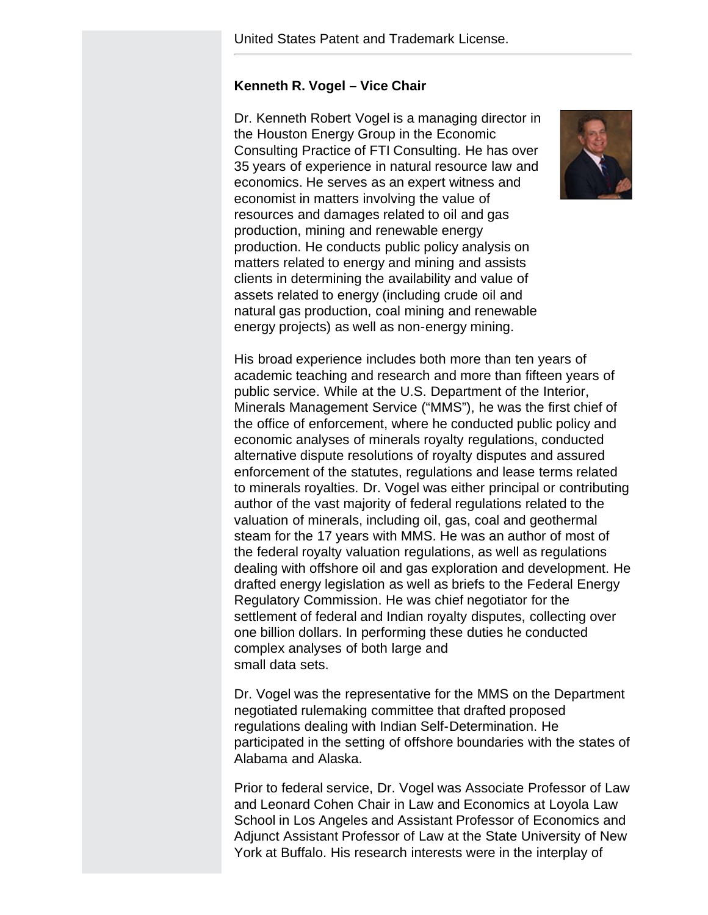## **Kenneth R. Vogel – Vice Chair**

Dr. Kenneth Robert Vogel is a managing director in the Houston Energy Group in the Economic Consulting Practice of FTI Consulting. He has over 35 years of experience in natural resource law and economics. He serves as an expert witness and economist in matters involving the value of resources and damages related to oil and gas production, mining and renewable energy production. He conducts public policy analysis on matters related to energy and mining and assists clients in determining the availability and value of assets related to energy (including crude oil and natural gas production, coal mining and renewable energy projects) as well as non-energy mining.



His broad experience includes both more than ten years of academic teaching and research and more than fifteen years of public service. While at the U.S. Department of the Interior, Minerals Management Service ("MMS"), he was the first chief of the office of enforcement, where he conducted public policy and economic analyses of minerals royalty regulations, conducted alternative dispute resolutions of royalty disputes and assured enforcement of the statutes, regulations and lease terms related to minerals royalties. Dr. Vogel was either principal or contributing author of the vast majority of federal regulations related to the valuation of minerals, including oil, gas, coal and geothermal steam for the 17 years with MMS. He was an author of most of the federal royalty valuation regulations, as well as regulations dealing with offshore oil and gas exploration and development. He drafted energy legislation as well as briefs to the Federal Energy Regulatory Commission. He was chief negotiator for the settlement of federal and Indian royalty disputes, collecting over one billion dollars. In performing these duties he conducted complex analyses of both large and small data sets.

Dr. Vogel was the representative for the MMS on the Department negotiated rulemaking committee that drafted proposed regulations dealing with Indian Self-Determination. He participated in the setting of offshore boundaries with the states of Alabama and Alaska.

Prior to federal service, Dr. Vogel was Associate Professor of Law and Leonard Cohen Chair in Law and Economics at Loyola Law School in Los Angeles and Assistant Professor of Economics and Adjunct Assistant Professor of Law at the State University of New York at Buffalo. His research interests were in the interplay of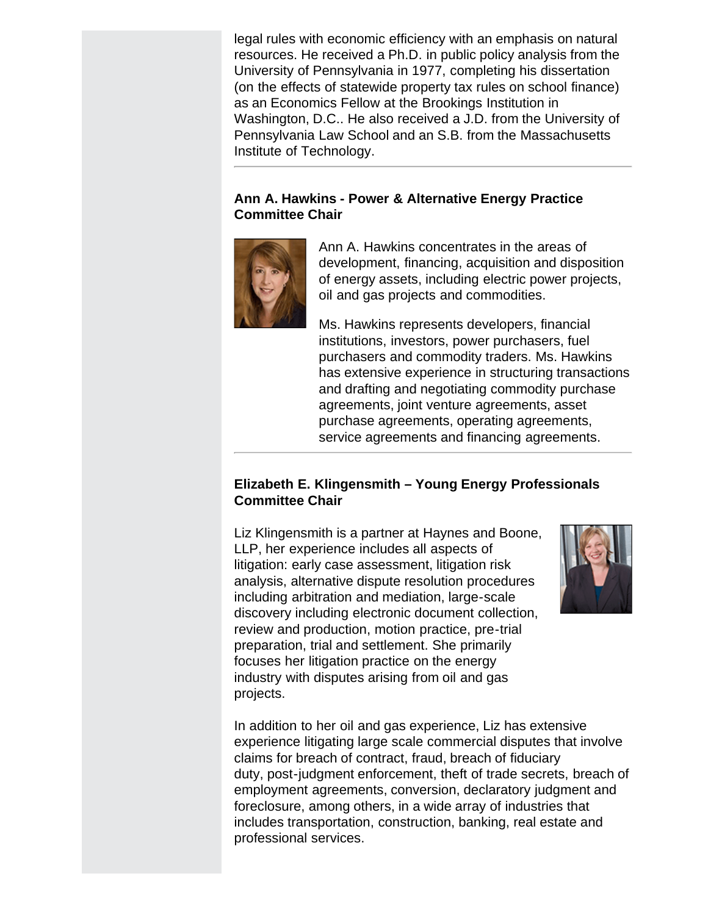legal rules with economic efficiency with an emphasis on natural resources. He received a Ph.D. in public policy analysis from the University of Pennsylvania in 1977, completing his dissertation (on the effects of statewide property tax rules on school finance) as an Economics Fellow at the Brookings Institution in Washington, D.C.. He also received a J.D. from the University of Pennsylvania Law School and an S.B. from the Massachusetts Institute of Technology.

# **Ann A. Hawkins - Power & Alternative Energy Practice Committee Chair**



Ann A. Hawkins concentrates in the areas of development, financing, acquisition and disposition of energy assets, including electric power projects, oil and gas projects and commodities.

Ms. Hawkins represents developers, financial institutions, investors, power purchasers, fuel purchasers and commodity traders. Ms. Hawkins has extensive experience in structuring transactions and drafting and negotiating commodity purchase agreements, joint venture agreements, asset purchase agreements, operating agreements, service agreements and financing agreements.

# **Elizabeth E. Klingensmith – Young Energy Professionals Committee Chair**

Liz Klingensmith is a partner at Haynes and Boone, LLP, her experience includes all aspects of litigation: early case assessment, litigation risk analysis, alternative dispute resolution procedures including arbitration and mediation, large-scale discovery including electronic document collection, review and production, motion practice, pre-trial preparation, trial and settlement. She primarily focuses her litigation practice on the energy industry with disputes arising from oil and gas projects.



In addition to her oil and gas experience, Liz has extensive experience litigating large scale commercial disputes that involve claims for breach of contract, fraud, breach of fiduciary duty, post-judgment enforcement, theft of trade secrets, breach of employment agreements, conversion, declaratory judgment and foreclosure, among others, in a wide array of industries that includes transportation, construction, banking, real estate and professional services.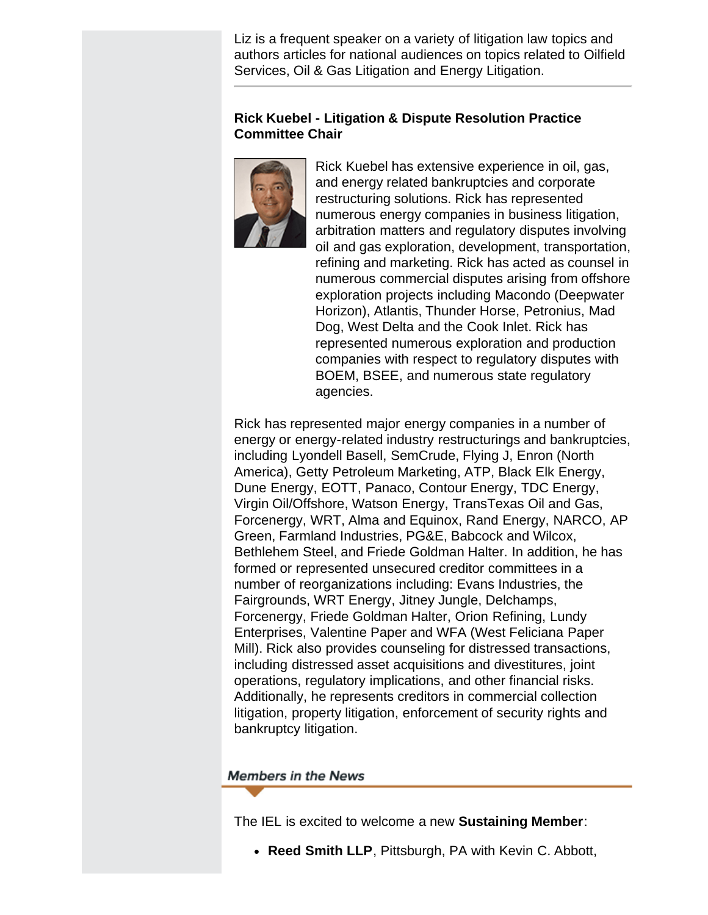Liz is a frequent speaker on a variety of litigation law topics and authors articles for national audiences on topics related to Oilfield Services, Oil & Gas Litigation and Energy Litigation.

# **Rick Kuebel - Litigation & Dispute Resolution Practice Committee Chair**



Rick Kuebel has extensive experience in oil, gas, and energy related bankruptcies and corporate restructuring solutions. Rick has represented numerous energy companies in business litigation, arbitration matters and regulatory disputes involving oil and gas exploration, development, transportation, refining and marketing. Rick has acted as counsel in numerous commercial disputes arising from offshore exploration projects including Macondo (Deepwater Horizon), Atlantis, Thunder Horse, Petronius, Mad Dog, West Delta and the Cook Inlet. Rick has represented numerous exploration and production companies with respect to regulatory disputes with BOEM, BSEE, and numerous state regulatory agencies.

Rick has represented major energy companies in a number of energy or energy-related industry restructurings and bankruptcies, including Lyondell Basell, SemCrude, Flying J, Enron (North America), Getty Petroleum Marketing, ATP, Black Elk Energy, Dune Energy, EOTT, Panaco, Contour Energy, TDC Energy, Virgin Oil/Offshore, Watson Energy, TransTexas Oil and Gas, Forcenergy, WRT, Alma and Equinox, Rand Energy, NARCO, AP Green, Farmland Industries, PG&E, Babcock and Wilcox, Bethlehem Steel, and Friede Goldman Halter. In addition, he has formed or represented unsecured creditor committees in a number of reorganizations including: Evans Industries, the Fairgrounds, WRT Energy, Jitney Jungle, Delchamps, Forcenergy, Friede Goldman Halter, Orion Refining, Lundy Enterprises, Valentine Paper and WFA (West Feliciana Paper Mill). Rick also provides counseling for distressed transactions, including distressed asset acquisitions and divestitures, joint operations, regulatory implications, and other financial risks. Additionally, he represents creditors in commercial collection litigation, property litigation, enforcement of security rights and bankruptcy litigation.

# **Members in the News**

The IEL is excited to welcome a new **Sustaining Member**:

**Reed Smith LLP**, Pittsburgh, PA with Kevin C. Abbott,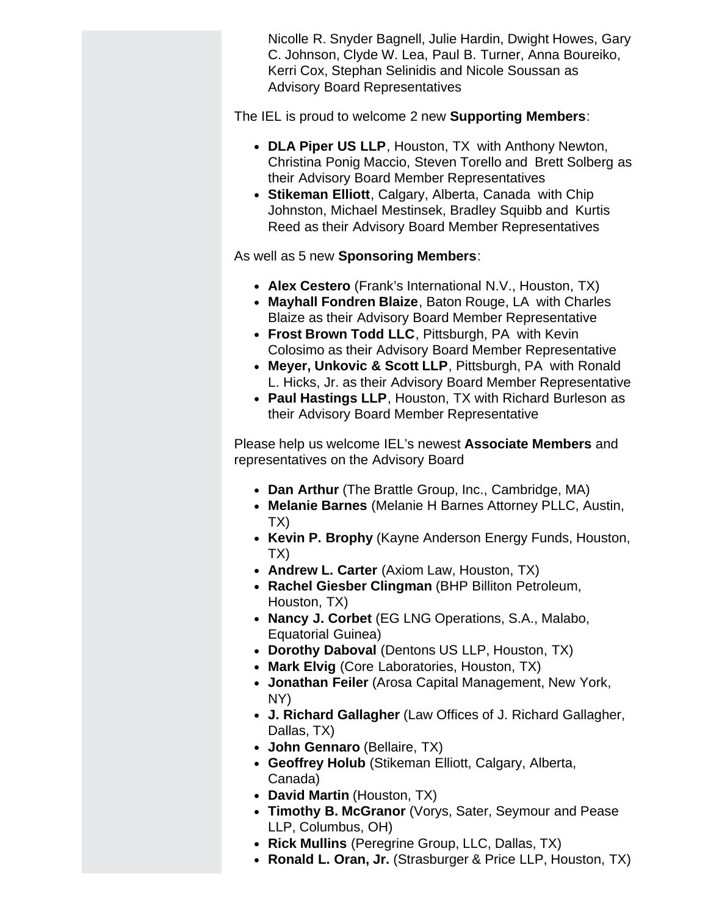Nicolle R. Snyder Bagnell, Julie Hardin, Dwight Howes, Gary C. Johnson, Clyde W. Lea, Paul B. Turner, Anna Boureiko, Kerri Cox, Stephan Selinidis and Nicole Soussan as Advisory Board Representatives

The IEL is proud to welcome 2 new **Supporting Members**:

- **DLA Piper US LLP**, Houston, TX with Anthony Newton, Christina Ponig Maccio, Steven Torello and Brett Solberg as their Advisory Board Member Representatives
- **Stikeman Elliott**, Calgary, Alberta, Canada with Chip Johnston, Michael Mestinsek, Bradley Squibb and Kurtis Reed as their Advisory Board Member Representatives

As well as 5 new **Sponsoring Members**:

- **Alex Cestero** (Frank's International N.V., Houston, TX)
- **Mayhall Fondren Blaize**, Baton Rouge, LA with Charles Blaize as their Advisory Board Member Representative
- **Frost Brown Todd LLC**, Pittsburgh, PA with Kevin Colosimo as their Advisory Board Member Representative
- **Meyer, Unkovic & Scott LLP**, Pittsburgh, PA with Ronald L. Hicks, Jr. as their Advisory Board Member Representative
- **Paul Hastings LLP**, Houston, TX with Richard Burleson as their Advisory Board Member Representative

Please help us welcome IEL's newest **Associate Members** and representatives on the Advisory Board

- **Dan Arthur** (The Brattle Group, Inc., Cambridge, MA)
- **Melanie Barnes** (Melanie H Barnes Attorney PLLC, Austin, TX)
- **Kevin P. Brophy** (Kayne Anderson Energy Funds, Houston, TX)
- **Andrew L. Carter** (Axiom Law, Houston, TX)
- **Rachel Giesber Clingman** (BHP Billiton Petroleum, Houston, TX)
- **Nancy J. Corbet** (EG LNG Operations, S.A., Malabo, Equatorial Guinea)
- **Dorothy Daboval** (Dentons US LLP, Houston, TX)
- **Mark Elvig** (Core Laboratories, Houston, TX)
- **Jonathan Feiler** (Arosa Capital Management, New York, NY)
- **J. Richard Gallagher** (Law Offices of J. Richard Gallagher, Dallas, TX)
- **John Gennaro** (Bellaire, TX)
- **Geoffrey Holub** (Stikeman Elliott, Calgary, Alberta, Canada)
- **David Martin** (Houston, TX)
- **Timothy B. McGranor** (Vorys, Sater, Seymour and Pease LLP, Columbus, OH)
- **Rick Mullins** (Peregrine Group, LLC, Dallas, TX)
- **Ronald L. Oran, Jr.** (Strasburger & Price LLP, Houston, TX)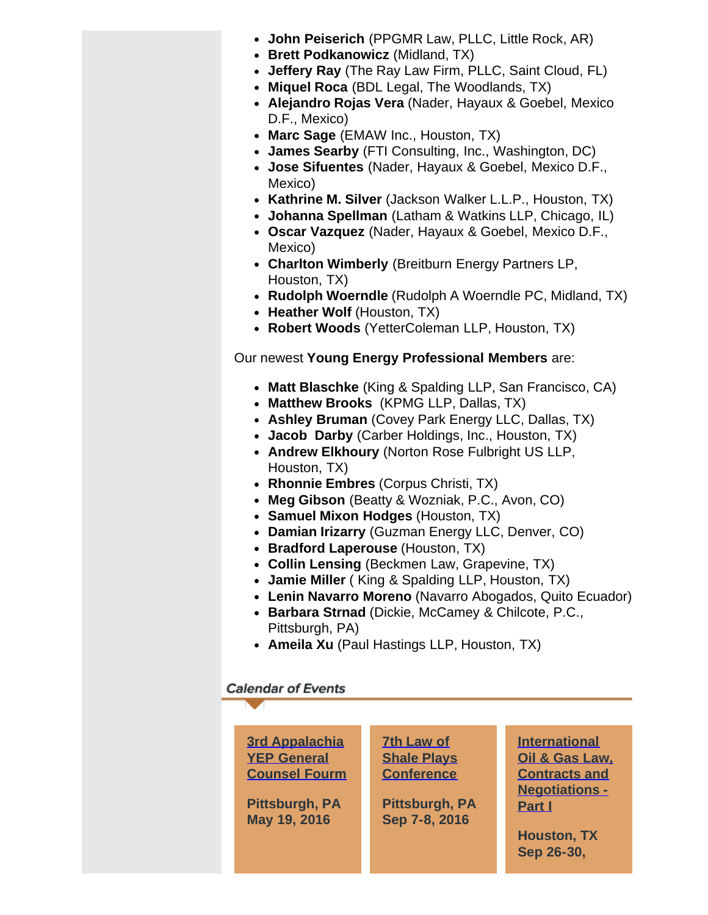- **John Peiserich** (PPGMR Law, PLLC, Little Rock, AR)
- **Brett Podkanowicz** (Midland, TX)
- **Jeffery Ray** (The Ray Law Firm, PLLC, Saint Cloud, FL)
- **Miquel Roca** (BDL Legal, The Woodlands, TX)
- **Alejandro Rojas Vera** (Nader, Hayaux & Goebel, Mexico D.F., Mexico)
- **Marc Sage** (EMAW Inc., Houston, TX)
- **James Searby** (FTI Consulting, Inc., Washington, DC)
- **Jose Sifuentes** (Nader, Hayaux & Goebel, Mexico D.F., Mexico)
- **Kathrine M. Silver** (Jackson Walker L.L.P., Houston, TX)
- **Johanna Spellman** (Latham & Watkins LLP, Chicago, IL)
- **Oscar Vazquez** (Nader, Hayaux & Goebel, Mexico D.F., Mexico)
- **Charlton Wimberly** (Breitburn Energy Partners LP, Houston, TX)
- **Rudolph Woerndle** (Rudolph A Woerndle PC, Midland, TX)
- **Heather Wolf** (Houston, TX)
- **Robert Woods** (YetterColeman LLP, Houston, TX)

# Our newest **Young Energy Professional Members** are:

- **Matt Blaschke** (King & Spalding LLP, San Francisco, CA)
- **Matthew Brooks** (KPMG LLP, Dallas, TX)
- **Ashley Bruman** (Covey Park Energy LLC, Dallas, TX)
- **Jacob Darby** (Carber Holdings, Inc., Houston, TX)
- **Andrew Elkhoury** (Norton Rose Fulbright US LLP, Houston, TX)
- **Rhonnie Embres** (Corpus Christi, TX)
- **Meg Gibson** (Beatty & Wozniak, P.C., Avon, CO)
- **Samuel Mixon Hodges** (Houston, TX)
- **Damian Irizarry** (Guzman Energy LLC, Denver, CO)
- **Bradford Laperouse** (Houston, TX)
- **Collin Lensing** (Beckmen Law, Grapevine, TX)
- **Jamie Miller** ( King & Spalding LLP, Houston, TX)
- **Lenin Navarro Moreno** (Navarro Abogados, Quito Ecuador)
- **Barbara Strnad** (Dickie, McCamey & Chilcote, P.C., Pittsburgh, PA)
- **Ameila Xu** (Paul Hastings LLP, Houston, TX)

# **Calendar of Events**